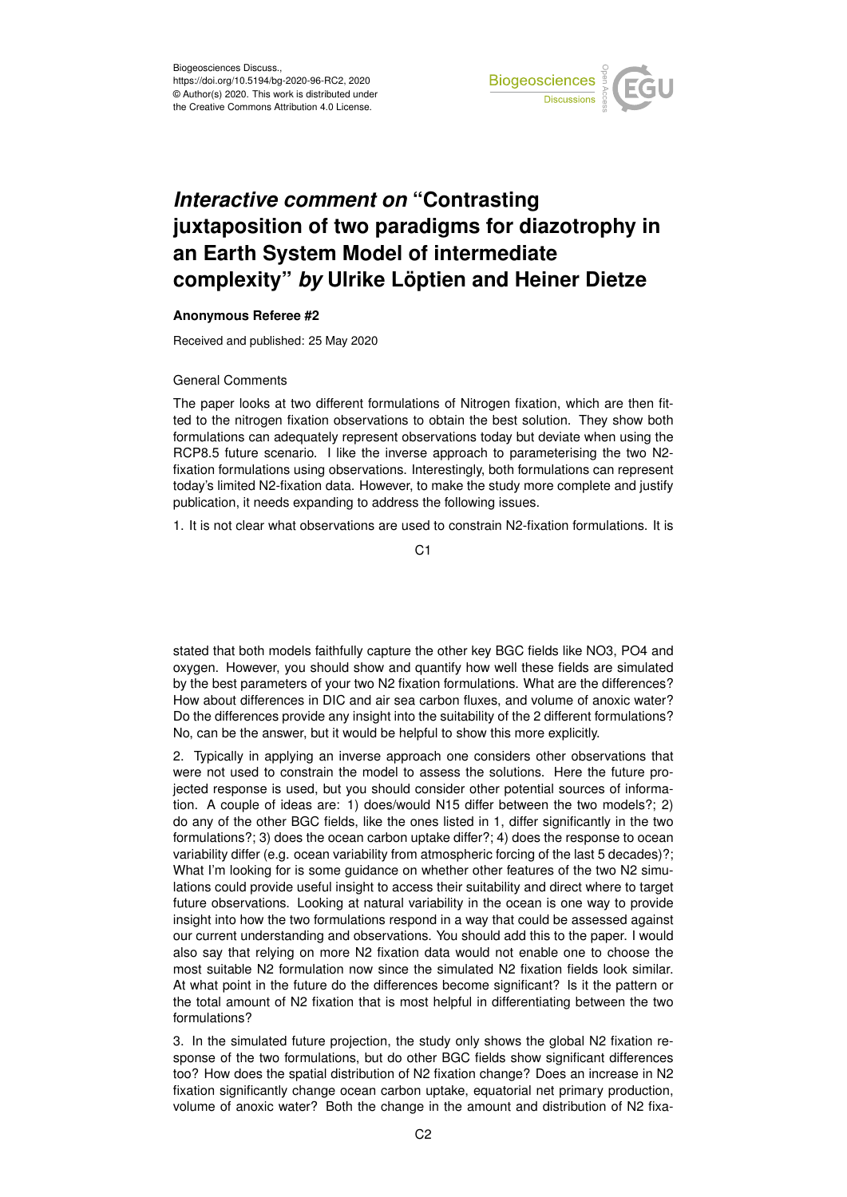

## *Interactive comment on* **"Contrasting juxtaposition of two paradigms for diazotrophy in an Earth System Model of intermediate complexity"** *by* **Ulrike Löptien and Heiner Dietze**

## **Anonymous Referee #2**

Received and published: 25 May 2020

## General Comments

The paper looks at two different formulations of Nitrogen fixation, which are then fitted to the nitrogen fixation observations to obtain the best solution. They show both formulations can adequately represent observations today but deviate when using the RCP8.5 future scenario. I like the inverse approach to parameterising the two N2fixation formulations using observations. Interestingly, both formulations can represent today's limited N2-fixation data. However, to make the study more complete and justify publication, it needs expanding to address the following issues.

1. It is not clear what observations are used to constrain N2-fixation formulations. It is

C1

stated that both models faithfully capture the other key BGC fields like NO3, PO4 and oxygen. However, you should show and quantify how well these fields are simulated by the best parameters of your two N2 fixation formulations. What are the differences? How about differences in DIC and air sea carbon fluxes, and volume of anoxic water? Do the differences provide any insight into the suitability of the 2 different formulations? No, can be the answer, but it would be helpful to show this more explicitly.

2. Typically in applying an inverse approach one considers other observations that were not used to constrain the model to assess the solutions. Here the future projected response is used, but you should consider other potential sources of information. A couple of ideas are: 1) does/would N15 differ between the two models?; 2) do any of the other BGC fields, like the ones listed in 1, differ significantly in the two formulations?; 3) does the ocean carbon uptake differ?; 4) does the response to ocean variability differ (e.g. ocean variability from atmospheric forcing of the last 5 decades)?; What I'm looking for is some guidance on whether other features of the two N2 simulations could provide useful insight to access their suitability and direct where to target future observations. Looking at natural variability in the ocean is one way to provide insight into how the two formulations respond in a way that could be assessed against our current understanding and observations. You should add this to the paper. I would also say that relying on more N2 fixation data would not enable one to choose the most suitable N2 formulation now since the simulated N2 fixation fields look similar. At what point in the future do the differences become significant? Is it the pattern or the total amount of N2 fixation that is most helpful in differentiating between the two formulations?

3. In the simulated future projection, the study only shows the global N2 fixation response of the two formulations, but do other BGC fields show significant differences too? How does the spatial distribution of N2 fixation change? Does an increase in N2 fixation significantly change ocean carbon uptake, equatorial net primary production, volume of anoxic water? Both the change in the amount and distribution of N2 fixa